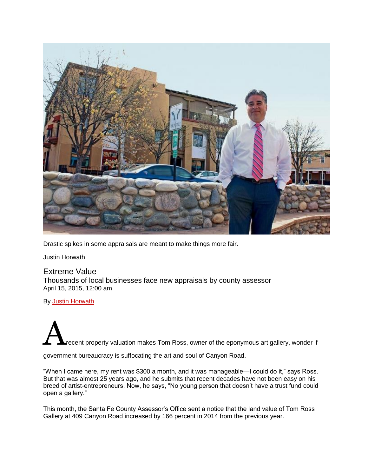

Drastic spikes in some appraisals are meant to make things more fair.

Justin Horwath

## Extreme Value Thousands of local businesses face new appraisals by county assessor April 15, 2015, 12:00 am

By **[Justin Horwath](http://www.sfreporter.com/santafe/by-author-443-1.html)** 

recent property valuation makes Tom Ross, owner of the eponymous art gallery, wonder if

government bureaucracy is suffocating the art and soul of Canyon Road.

"When I came here, my rent was \$300 a month, and it was manageable—I could do it," says Ross. But that was almost 25 years ago, and he submits that recent decades have not been easy on his breed of artist-entrepreneurs. Now, he says, "No young person that doesn't have a trust fund could open a gallery."

This month, the Santa Fe County Assessor's Office sent a notice that the land value of Tom Ross Gallery at 409 Canyon Road increased by 166 percent in 2014 from the previous year.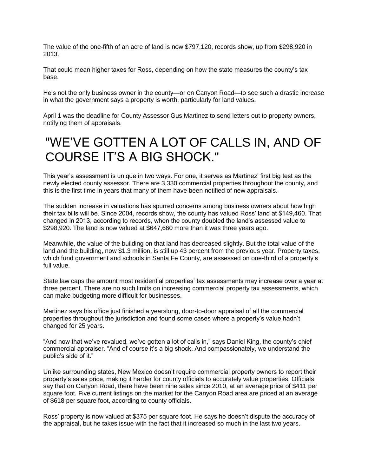The value of the one-fifth of an acre of land is now \$797,120, records show, up from \$298,920 in 2013.

That could mean higher taxes for Ross, depending on how the state measures the county's tax base.

He's not the only business owner in the county—or on Canyon Road—to see such a drastic increase in what the government says a property is worth, particularly for land values.

April 1 was the deadline for County Assessor Gus Martinez to send letters out to property owners, notifying them of appraisals.

## "WE'VE GOTTEN A LOT OF CALLS IN, AND OF COURSE IT'S A BIG SHOCK."

This year's assessment is unique in two ways. For one, it serves as Martinez' first big test as the newly elected county assessor. There are 3,330 commercial properties throughout the county, and this is the first time in years that many of them have been notified of new appraisals.

The sudden increase in valuations has spurred concerns among business owners about how high their tax bills will be. Since 2004, records show, the county has valued Ross' land at \$149,460. That changed in 2013, according to records, when the county doubled the land's assessed value to \$298,920. The land is now valued at \$647,660 more than it was three years ago.

Meanwhile, the value of the building on that land has decreased slightly. But the total value of the land and the building, now \$1.3 million, is still up 43 percent from the previous year. Property taxes, which fund government and schools in Santa Fe County, are assessed on one-third of a property's full value.

State law caps the amount most residential properties' tax assessments may increase over a year at three percent. There are no such limits on increasing commercial property tax assessments, which can make budgeting more difficult for businesses.

Martinez says his office just finished a yearslong, door-to-door appraisal of all the commercial properties throughout the jurisdiction and found some cases where a property's value hadn't changed for 25 years.

"And now that we've revalued, we've gotten a lot of calls in," says Daniel King, the county's chief commercial appraiser. "And of course it's a big shock. And compassionately, we understand the public's side of it."

Unlike surrounding states, New Mexico doesn't require commercial property owners to report their property's sales price, making it harder for county officials to accurately value properties. Officials say that on Canyon Road, there have been nine sales since 2010, at an average price of \$411 per square foot. Five current listings on the market for the Canyon Road area are priced at an average of \$618 per square foot, according to county officials.

Ross' property is now valued at \$375 per square foot. He says he doesn't dispute the accuracy of the appraisal, but he takes issue with the fact that it increased so much in the last two years.